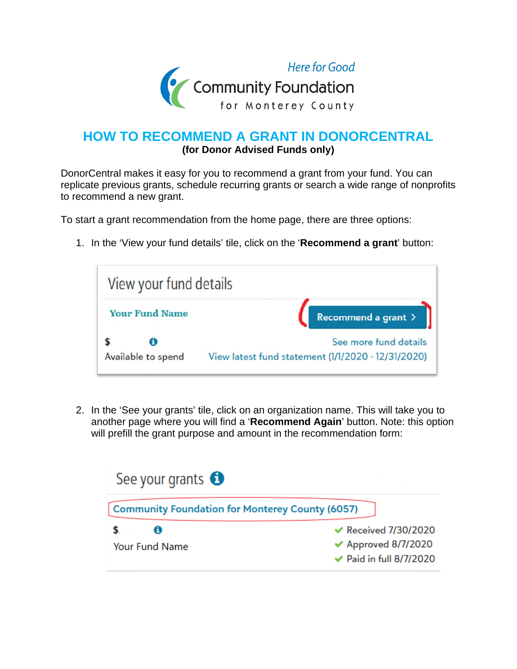

## **HOW TO RECOMMEND A GRANT IN DONORCENTRAL (for Donor Advised Funds only)**

DonorCentral makes it easy for you to recommend a grant from your fund. You can replicate previous grants, schedule recurring grants or search a wide range of nonprofits to recommend a new grant.

To start a grant recommendation from the home page, there are three options:

1. In the 'View your fund details' tile, click on the '**Recommend a grant**' button:



2. In the 'See your grants' tile, click on an organization name. This will take you to another page where you will find a '**Recommend Again**' button. Note: this option will prefill the grant purpose and amount in the recommendation form:

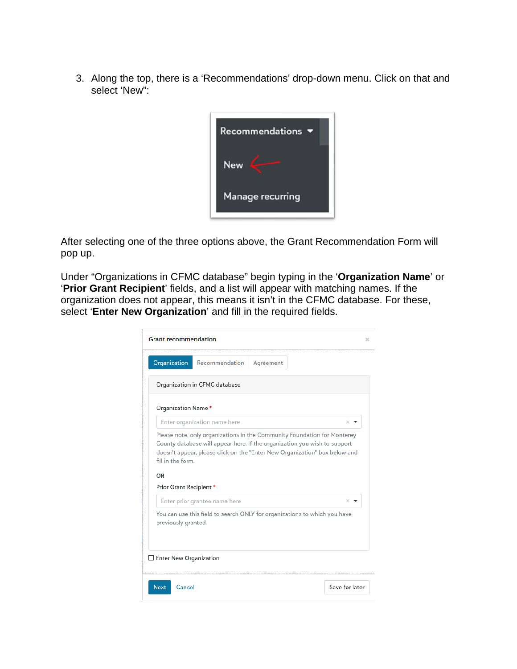3. Along the top, there is a 'Recommendations' drop-down menu. Click on that and select 'New":



After selecting one of the three options above, the Grant Recommendation Form will pop up.

Under "Organizations in CFMC database" begin typing in the '**Organization Name**' or '**Prior Grant Recipient**' fields, and a list will appear with matching names. If the organization does not appear, this means it isn't in the CFMC database. For these, select '**Enter New Organization**' and fill in the required fields.

| Organization<br>Recommendation                                                                                                                                                                                                                                        | Agreement |          |
|-----------------------------------------------------------------------------------------------------------------------------------------------------------------------------------------------------------------------------------------------------------------------|-----------|----------|
| Organization in CFMC database                                                                                                                                                                                                                                         |           |          |
| Organization Name *                                                                                                                                                                                                                                                   |           |          |
| Enter organization name here                                                                                                                                                                                                                                          |           | $\times$ |
|                                                                                                                                                                                                                                                                       |           |          |
| Enter prior grantee name here                                                                                                                                                                                                                                         |           | $\times$ |
|                                                                                                                                                                                                                                                                       |           |          |
| doesn't appear, please click on the "Enter New Organization" box below and<br>fill in the form.<br>OR<br>Prior Grant Recipient *<br>You can use this field to search ONLY for organizations to which you have<br>previously granted.<br>$\Box$ Enter New Organization |           |          |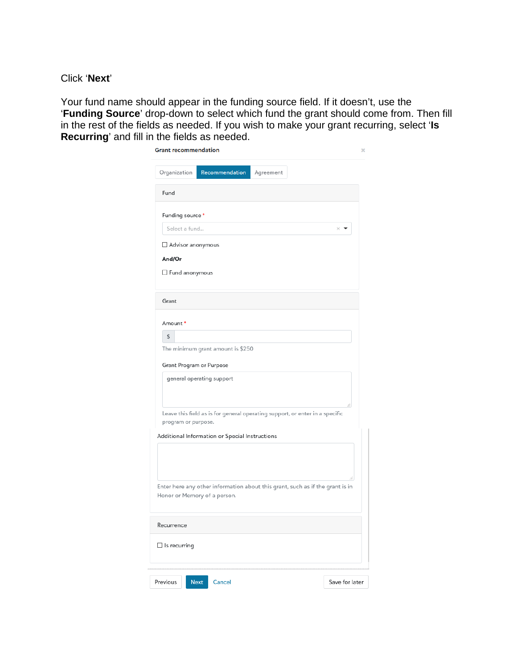Click '**Next**'

Your fund name should appear in the funding source field. If it doesn't, use the '**Funding Source**' drop-down to select which fund the grant should come from. Then fill in the rest of the fields as needed. If you wish to make your grant recurring, select '**Is Recurring**' and fill in the fields as needed.

| <b>Grant recommendation</b> |                                                |                                                                               | ×              |
|-----------------------------|------------------------------------------------|-------------------------------------------------------------------------------|----------------|
| Organization                | Recommendation                                 | Agreement                                                                     |                |
| Fund                        |                                                |                                                                               |                |
| Funding source *            |                                                |                                                                               |                |
| Select a fund               |                                                |                                                                               | $\times$       |
| Advisor anonymous           |                                                |                                                                               |                |
| And/Or                      |                                                |                                                                               |                |
| Fund anonymous              |                                                |                                                                               |                |
| Grant                       |                                                |                                                                               |                |
| Amount*                     |                                                |                                                                               |                |
| \$                          |                                                |                                                                               |                |
|                             | The minimum grant amount is \$250              |                                                                               |                |
| Grant Program or Purpose    |                                                |                                                                               |                |
|                             | general operating support                      |                                                                               |                |
| program or purpose.         |                                                | Leave this field as is for general operating support, or enter in a specific  | ä.             |
|                             | Additional Information or Special Instructions |                                                                               |                |
|                             |                                                |                                                                               |                |
|                             | Honor or Memory of a person.                   | Enter here any other information about this grant, such as if the grant is in | ă              |
| Recurrence                  |                                                |                                                                               |                |
| $\Box$ Is recurring         |                                                |                                                                               |                |
| Previous                    | Next<br>Cancel                                 |                                                                               | Save for later |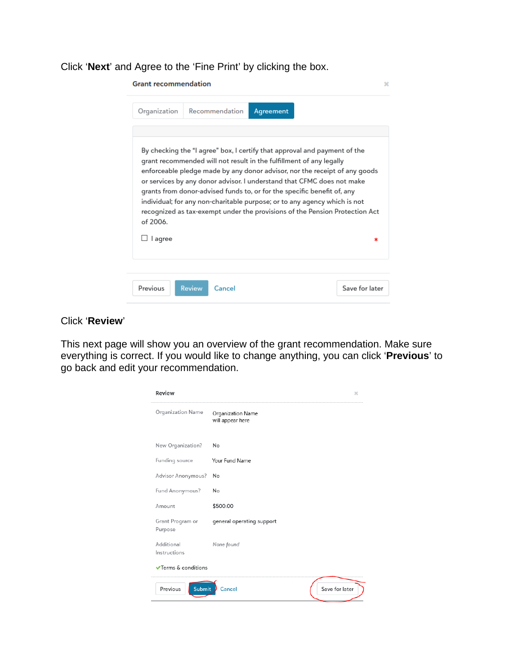## Click '**Next**' and Agree to the 'Fine Print' by clicking the box.

| <b>Grant recommendation</b> |                                                                                                                                                |           |                                                                                                                                                                                                                                                                                                                                                                                               | × |
|-----------------------------|------------------------------------------------------------------------------------------------------------------------------------------------|-----------|-----------------------------------------------------------------------------------------------------------------------------------------------------------------------------------------------------------------------------------------------------------------------------------------------------------------------------------------------------------------------------------------------|---|
| Organization                | Recommendation                                                                                                                                 | Agreement |                                                                                                                                                                                                                                                                                                                                                                                               |   |
| of 2006.<br>l agree         | grant recommended will not result in the fulfillment of any legally<br>grants from donor-advised funds to, or for the specific benefit of, any |           | By checking the "I agree" box, I certify that approval and payment of the<br>enforceable pledge made by any donor advisor, nor the receipt of any goods<br>or services by any donor advisor. I understand that CFMC does not make<br>individual; for any non-charitable purpose; or to any agency which is not<br>recognized as tax-exempt under the provisions of the Pension Protection Act |   |
| Previous                    | <b>Review</b><br>Cancel                                                                                                                        |           | Save for later                                                                                                                                                                                                                                                                                                                                                                                |   |

## Click '**Review**'

This next page will show you an overview of the grant recommendation. Make sure everything is correct. If you would like to change anything, you can click '**Previous**' to go back and edit your recommendation.

| Review                         |                                       | ×              |
|--------------------------------|---------------------------------------|----------------|
| Organization Name              | Organization Name<br>will appear here |                |
| New Organization?              | No                                    |                |
| Funding source                 | Your Fund Name                        |                |
| Advisor Anonymous?             | No                                    |                |
| Fund Anonymous?                | No                                    |                |
| Amount                         | \$500.00                              |                |
| Grant Program or<br>Purpose    | general operating support             |                |
| Additional<br>Instructions     | None found                            |                |
| <b>√Terms &amp; conditions</b> |                                       |                |
| Submit<br>Previous             | Cancel                                | Save for later |